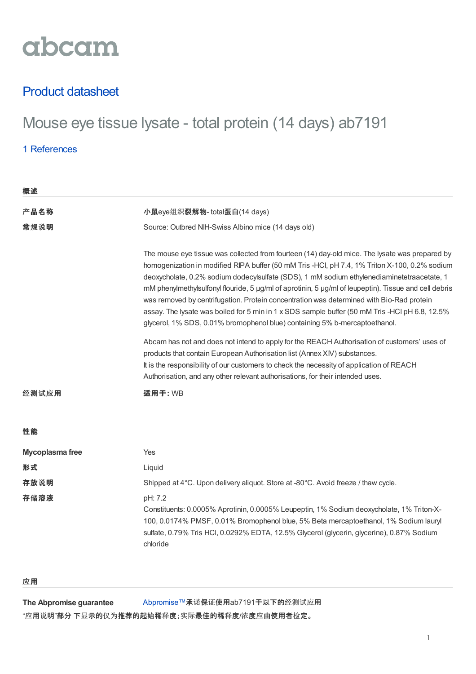

## Product datasheet

# Mouse eye tissue lysate - total protein (14 days) ab7191

### 1 [References](https://www.abcam.cn/mouse-eye-tissue-lysate-total-protein-14-days-ab7191.html#description_references)

| 概述              |                                                                                                                                                                                                                                                                                                                                                                                                                                                                                                                                                                                                                                                                                    |  |  |
|-----------------|------------------------------------------------------------------------------------------------------------------------------------------------------------------------------------------------------------------------------------------------------------------------------------------------------------------------------------------------------------------------------------------------------------------------------------------------------------------------------------------------------------------------------------------------------------------------------------------------------------------------------------------------------------------------------------|--|--|
| 产品名称            | 小鼠eye组织裂解物- total蛋白(14 days)                                                                                                                                                                                                                                                                                                                                                                                                                                                                                                                                                                                                                                                       |  |  |
| 常规说明            | Source: Outbred NIH-Swiss Albino mice (14 days old)                                                                                                                                                                                                                                                                                                                                                                                                                                                                                                                                                                                                                                |  |  |
|                 | The mouse eye tissue was collected from fourteen (14) day-old mice. The lysate was prepared by<br>homogenization in modified RIPA buffer (50 mM Tris -HCI, pH 7.4, 1% Triton X-100, 0.2% sodium<br>deoxycholate, 0.2% sodium dodecylsulfate (SDS), 1 mM sodium ethylenediaminetetraacetate, 1<br>mM phenylmethylsulfonyl flouride, 5 µg/ml of aprotinin, 5 µg/ml of leupeptin). Tissue and cell debris<br>was removed by centrifugation. Protein concentration was determined with Bio-Rad protein<br>assay. The lysate was boiled for 5 min in 1 x SDS sample buffer (50 mM Tris -HCl pH 6.8, 12.5%<br>glycerol, 1% SDS, 0.01% bromophenol blue) containing 5% b-mercaptoethanol. |  |  |
|                 | Abcam has not and does not intend to apply for the REACH Authorisation of customers' uses of<br>products that contain European Authorisation list (Annex XIV) substances.<br>It is the responsibility of our customers to check the necessity of application of REACH<br>Authorisation, and any other relevant authorisations, for their intended uses.                                                                                                                                                                                                                                                                                                                            |  |  |
| 经测试应用           | 适用于: WB                                                                                                                                                                                                                                                                                                                                                                                                                                                                                                                                                                                                                                                                            |  |  |
| 性能              |                                                                                                                                                                                                                                                                                                                                                                                                                                                                                                                                                                                                                                                                                    |  |  |
| Mycoplasma free | Yes                                                                                                                                                                                                                                                                                                                                                                                                                                                                                                                                                                                                                                                                                |  |  |
| 形式              | Liquid                                                                                                                                                                                                                                                                                                                                                                                                                                                                                                                                                                                                                                                                             |  |  |
| 存放说明            | Shipped at 4°C. Upon delivery aliquot. Store at -80°C. Avoid freeze / thaw cycle.                                                                                                                                                                                                                                                                                                                                                                                                                                                                                                                                                                                                  |  |  |
| 存储溶液            | pH: 7.2<br>Constituents: 0.0005% Aprotinin, 0.0005% Leupeptin, 1% Sodium deoxycholate, 1% Triton-X-<br>100, 0.0174% PMSF, 0.01% Bromophenol blue, 5% Beta mercaptoethanol, 1% Sodium lauryl<br>sulfate, 0.79% Tris HCI, 0.0292% EDTA, 12.5% Glycerol (glycerin, glycerine), 0.87% Sodium<br>chloride                                                                                                                                                                                                                                                                                                                                                                               |  |  |

#### 应用

**The Abpromise guarantee**

[Abpromise™](https://www.abcam.cn/abpromise)承诺保证使用ab7191于以下的经测试应用

"应用说明"部分 下显示的仅为推荐的起始稀释度;实际最佳的稀释度/浓度应由使用者检定。